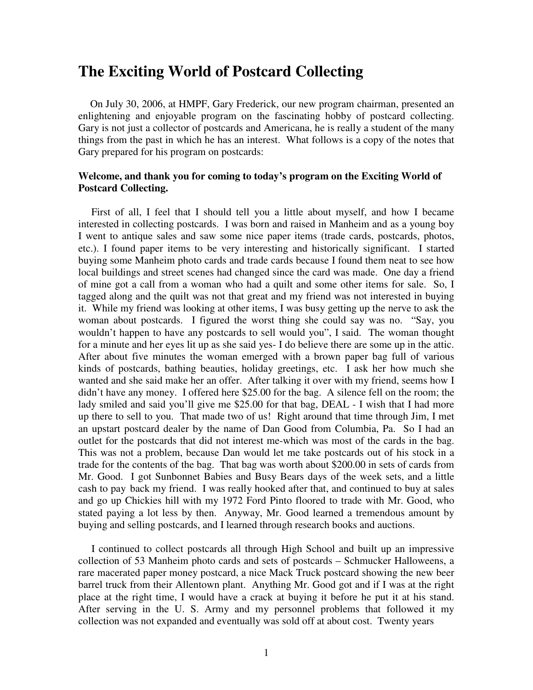#### **The Exciting World of Postcard Collecting**

On July 30, 2006, at HMPF, Gary Frederick, our new program chairman, presented an enlightening and enjoyable program on the fascinating hobby of postcard collecting. Gary is not just a collector of postcards and Americana, he is really a student of the many things from the past in which he has an interest. What follows is a copy of the notes that Gary prepared for his program on postcards:

#### **Welcome, and thank you for coming to today's program on the Exciting World of Postcard Collecting.**

 First of all, I feel that I should tell you a little about myself, and how I became interested in collecting postcards. I was born and raised in Manheim and as a young boy I went to antique sales and saw some nice paper items (trade cards, postcards, photos, etc.). I found paper items to be very interesting and historically significant. I started buying some Manheim photo cards and trade cards because I found them neat to see how local buildings and street scenes had changed since the card was made. One day a friend of mine got a call from a woman who had a quilt and some other items for sale. So, I tagged along and the quilt was not that great and my friend was not interested in buying it. While my friend was looking at other items, I was busy getting up the nerve to ask the woman about postcards. I figured the worst thing she could say was no. "Say, you wouldn't happen to have any postcards to sell would you", I said. The woman thought for a minute and her eyes lit up as she said yes- I do believe there are some up in the attic. After about five minutes the woman emerged with a brown paper bag full of various kinds of postcards, bathing beauties, holiday greetings, etc. I ask her how much she wanted and she said make her an offer. After talking it over with my friend, seems how I didn't have any money. I offered here \$25.00 for the bag. A silence fell on the room; the lady smiled and said you'll give me \$25.00 for that bag, DEAL - I wish that I had more up there to sell to you. That made two of us! Right around that time through Jim, I met an upstart postcard dealer by the name of Dan Good from Columbia, Pa. So I had an outlet for the postcards that did not interest me-which was most of the cards in the bag. This was not a problem, because Dan would let me take postcards out of his stock in a trade for the contents of the bag. That bag was worth about \$200.00 in sets of cards from Mr. Good. I got Sunbonnet Babies and Busy Bears days of the week sets, and a little cash to pay back my friend. I was really hooked after that, and continued to buy at sales and go up Chickies hill with my 1972 Ford Pinto floored to trade with Mr. Good, who stated paying a lot less by then. Anyway, Mr. Good learned a tremendous amount by buying and selling postcards, and I learned through research books and auctions.

 I continued to collect postcards all through High School and built up an impressive collection of 53 Manheim photo cards and sets of postcards – Schmucker Halloweens, a rare macerated paper money postcard, a nice Mack Truck postcard showing the new beer barrel truck from their Allentown plant. Anything Mr. Good got and if I was at the right place at the right time, I would have a crack at buying it before he put it at his stand. After serving in the U. S. Army and my personnel problems that followed it my collection was not expanded and eventually was sold off at about cost. Twenty years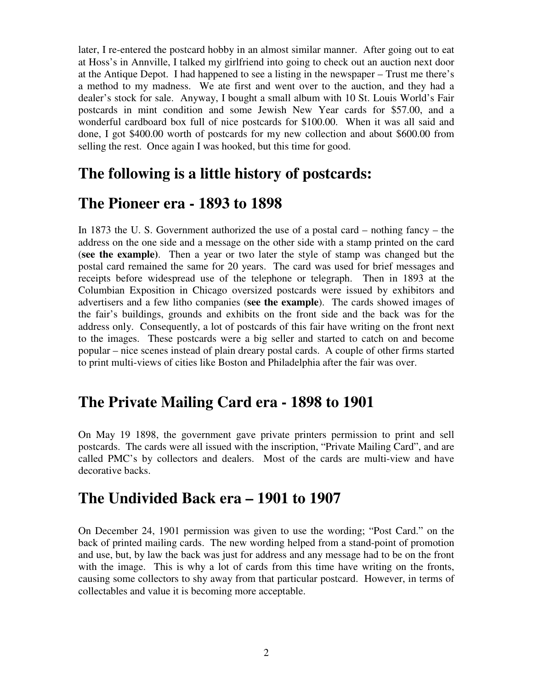later, I re-entered the postcard hobby in an almost similar manner. After going out to eat at Hoss's in Annville, I talked my girlfriend into going to check out an auction next door at the Antique Depot. I had happened to see a listing in the newspaper – Trust me there's a method to my madness. We ate first and went over to the auction, and they had a dealer's stock for sale. Anyway, I bought a small album with 10 St. Louis World's Fair postcards in mint condition and some Jewish New Year cards for \$57.00, and a wonderful cardboard box full of nice postcards for \$100.00. When it was all said and done, I got \$400.00 worth of postcards for my new collection and about \$600.00 from selling the rest. Once again I was hooked, but this time for good.

# **The following is a little history of postcards:**

## **The Pioneer era - 1893 to 1898**

In 1873 the U. S. Government authorized the use of a postal card – nothing fancy – the address on the one side and a message on the other side with a stamp printed on the card (**see the example)**. Then a year or two later the style of stamp was changed but the postal card remained the same for 20 years. The card was used for brief messages and receipts before widespread use of the telephone or telegraph. Then in 1893 at the Columbian Exposition in Chicago oversized postcards were issued by exhibitors and advertisers and a few litho companies (**see the example**). The cards showed images of the fair's buildings, grounds and exhibits on the front side and the back was for the address only. Consequently, a lot of postcards of this fair have writing on the front next to the images. These postcards were a big seller and started to catch on and become popular – nice scenes instead of plain dreary postal cards. A couple of other firms started to print multi-views of cities like Boston and Philadelphia after the fair was over.

# **The Private Mailing Card era - 1898 to 1901**

On May 19 1898, the government gave private printers permission to print and sell postcards. The cards were all issued with the inscription, "Private Mailing Card", and are called PMC's by collectors and dealers. Most of the cards are multi-view and have decorative backs.

### **The Undivided Back era – 1901 to 1907**

On December 24, 1901 permission was given to use the wording; "Post Card." on the back of printed mailing cards. The new wording helped from a stand-point of promotion and use, but, by law the back was just for address and any message had to be on the front with the image. This is why a lot of cards from this time have writing on the fronts, causing some collectors to shy away from that particular postcard. However, in terms of collectables and value it is becoming more acceptable.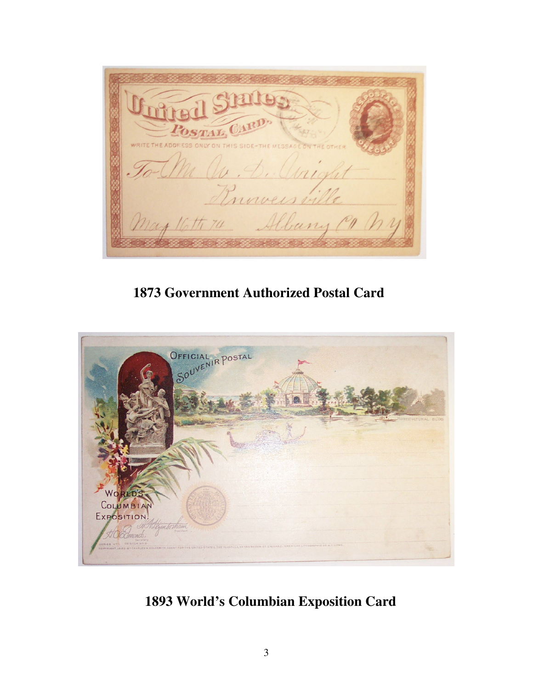STRILLEGY RITE THE ADDRESS M av. D. Unig Princes ville May 16th 74 Albany Com

**1873 Government Authorized Postal Card** 



**1893 World's Columbian Exposition Card**